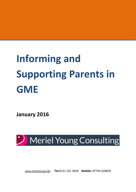# **Informing and Supporting Parents in GME**

**January 2016**



*[www.merielyoung.info](http://www.merielyoung.info/)* **Tel:**[0131](Tel:0131) 331 2656 **Mobile:** 07745 026835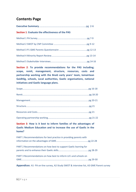# **Contents Page**

| <b>Section 1: Evaluate the effectiveness of the PAS</b> |  |
|---------------------------------------------------------|--|
|                                                         |  |
|                                                         |  |
|                                                         |  |
|                                                         |  |
|                                                         |  |

**Section 2**: **To provide recommendations for the PAS including; scope, remit, management, structure, resources, costs and partnership working with the BnaG early years' team, Iomairtean Gaidhlig, schools, Local authorities, Gaelic organisations, national initiatives and Gaelic language plans.**

**Section 3**: **How is it best to inform families of the advantages of Gaelic Medium Education and to increase the use of Gaelic in the home?**

| PART 1 Recommendations for best practice in providing parents with |  |
|--------------------------------------------------------------------|--|
| PART 2 Recommendations on how best to support Gaelic learning for  |  |
| PART 3 Recommendations on how best to inform LA's and schools on   |  |

**Appendices**: A1- PA on-line survey, A2-Study SWOT & interview list, A3 GME Parent survey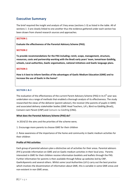## **Executive Summary**

The brief required the insight and analysis of 3 key areas (sections 1-3) as listed in the table. All of sections 1 -3 are closely linked to one another thus the evidence gathered under each section has been drawn from shared research sources and approaches.

#### **SECTION 1**

**Evaluate the effectiveness of the Parental Advisory Scheme (PAS).**

#### **SECTION 2**

**To provide recommendations for the PAS including; remit, scope, management, structure, resources, costs and partnership working with the BnaG early years' team, Iomairtean Gaidhlig, schools, Local authorities, Gaelic organisations, national initiatives and Gaelic language plans.**

#### **SECTION 3**

**How is it best to inform families of the advantages of Gaelic Medium Education (GME) and to increase the use of Gaelic in the home?**

#### **SECTION 1 & 2**

The evaluation of the effectiveness of the current Parent Advisory Scheme (PAS) in its  $6<sup>th</sup>$  year was undertaken via a range of methods that enabled a thorough analysis of its effectiveness. The study researched the views of the deliverer (parent advisor), the receiver (the parents of pupils in GME) and associated delivery stakeholder bodies (GME Head Teachers, LA's, Bòrd na Gàidhlig (BnaG), Comann nam Pàrant (CNP) and Comunn na Gàidhlig (CNG).

#### **What does the Parental Advisory Scheme (PAS) do?**

In 2014/15 the aims and the priorities of the scheme were;

1. Encourage more parents to choose GME for their children

2. Raise awareness of the importance of the home and community in Gaelic medium activities for their children

#### **Profile of PAS activities**

Each group of parental advisors plan a distinctive set of activities for their areas. Parental advisors (PA's) provide information on GME and on Gaelic medium activities in their local area. Parents interested in GME for their children receive information booklets and leaflets through the PAS. Further information for parents is then available through follow up websites led by CNP, Gaelic4parents and several others. Whilst some Local Authorities (LA's) carry out the best practice which involves the dissemination of information about GME, this is variable in some GME areas and non-existent in non GME areas.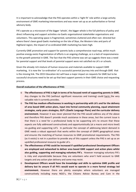It is important to acknowledge that the PAS operates within a 'tight fit' role within a large activity environment of GME marketing interventions and was never set up as an authoritative or formal advisory body.

PA's operate as a microcosm of the bigger 'whole', the bigger whole is the full plethora of policy and direct influencing and support activities via Gaelic organisational stakeholder organisations and volunteers. This operating space is fragmented, sometimes cluttered and often non- directed but where there's been good Gaelic marketing on the Isle of Skye, the Western Isles and parts of Highland region, the impact of co-ordinated GME marketing has been high.

Currently GME promotion and support for parents lacks a comprehensive road map, whilst much positive energy exists fragmentation of efforts is an ongoing challenge, as is a lack of responsiveness to the growth potential in GME. The fact that the PAS scheme was set up suggests there was a need for parental support and that levels of parental support were not satisfied via LA's or schools.

Given the already rich mixture of human resources and materials available to support GME marketing, it is now the 'co-ordination' of a successful parental journey into and through GME that is the missing link. The 2015 Education Act will have a major impact on requests for GME but to be successful structures need to be set up that best support parents in their GME choice and requesting process.

#### **Overall evaluation of the effectiveness of PAS:**

- o **The effectiveness of PAS is high in terms of its focused remit of supporting parents in GME.**  Any changes to the PAS (without significant resources and training) could harm the very valuable role it currently provides.
- o **The PAS has medium effectiveness in working in partnership with LA's and for the delivery of area based GME action plans, input into formal community planning, equal attainment strategies, early years strategies, GLP's (Gaelic Language Plans) and the curricular delivery environment.** However it was never planned that the PAS would address any of the above and therefore PAS doesn't provide much assistance in these areas, but the current issue is that there is a *need* for a professional body to be supporting LA's to ensure that these aspects are fully addressed constructively and opportunistically (at a macro and micro level) via guiding and supporting LA'S. In particular the concept of addressing latent demand in GME needs a robust approach that works within the concept of GMPE geographical zones and ensures the matching of human resources to GME promotional requirements. The PAS (as it exists) is not in a position to provide any of this support unless the PAS is set up as an upskilled professional resource to guide LA's.
- o **The effectiveness of PAS could be increased if upskilled professional Development Officers are employed and networked to deliver area based GME support and action plans whilst also guiding, supporting and managing voluntary PA's.** However managing voluntary PA's is risky and unpredictable because they are volunteers who aren't held account to GME targets and any action plan delivery and some may resist.
- o **Development Officers would have the knowledge and skills to optimise GME profile and delivery but its unsure if all PA's would want to operate in a more formal strategy led environment.** However there are plenty examples where volunteers are managed constructively including many NGO's, the Citizens Advice Bureau and Care in the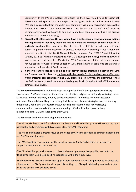Community. If the PAS is Development Officer led then PA's would need to accept job descriptions with specific tasks and targets and an agreed code of conduct. Also volunteer PA's could be recruited from the wider local community via a local recruitment process that defined both 'essential' and 'desirable' criteria for the PA role. The PA's who'd want to continue only to work with parents on a one to one basis could do so (as this is the original and most vital role that PA's play).

- o **Given that the Development Officers would have a professional overview of plans, actions and opportunities then they would be able to define the volunteer support needs for a particular location.** This could mean that the role of the PAS be extended out with only parent to parent communications to address wider Gaelic planning issues around the strategic priorities in the BnaG National Gaelic Language Plan 2012-17 and Education Strategy 2012-16 (which are intertwined with GME development locally) plus the new GMPE assessment areas defined by LA's via the 2015 Education Act. PA's could even support various aspects of Gaelic Learner Education (GLE) marketing to schools who are unfamiliar and under confident about Gaelic learning.
- o **If the PAS cannot change its remit to help deliver various strategic objectives and GME 'gap' issues then it is best to continue with the 'needed' role it delivers very effectively within informal parental support and GME promotion.** In summary the alternative is that the PAS develops its remit to advance Gaelic growth within and out with GME areas and optimises LA delivery.

The **key recommendation** is that BnaG prepare a report and tool-kit on good practice delivery structures for GME marketing via LA's and that this directs good practice nationally. A strategic steer is required in order that every input by Gaelic practitioners is optimised for more successful outcomes. The models are likely to involve; principle setting, planning strategies, ways of working (integration), optimising existing resources, upskilling, practical tool-kits, key messaging, communications medium selection, resource sharing. LA's should imbed these delivery methodologies for GME marketing into their GLP's.

The **key issues** for the future development of PAS are:

-The PAS works best as an informal network unless it is upskilled with a paid workforce that work in partnership and agreement with LA delivery plans for GME marketing.

-The PAS could develop a greater focus on the needs of 0-3 years' parents and optimise engagement and GME learning journeys.

-The PAS should carry-on supporting the social learning of Gaelic and utilising the school as a supportive hub point for Gaelic learning.

-The PAS should engage with parents to develop learning pathways that provide them with the flexibility to learn Gaelic (as a positive experience) within their busy lives.

-Without the PAS upskilling and setting up paid work contracts it is not in a position to influence the critical aspects of GME promotional support like setting up cròileagain, delivering area wide action plans and dealing with childcare issues.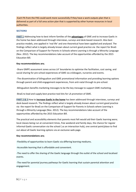-Each PA from the PAS could work more successfully if they have a work outputs plan that is delivered as part of a full area action plan that is supported by other human resources in local authorities.

#### **SECTION3**

**PART 1** Addressing how to best inform families of the **advantages** of GME and to increase Gaelic in the home has been addressed through interviews, surveys and desk-based research. Also best practice models, one applied in 'real life' and one theoretical have been applied and analysed. The findings reflect what is largely already known about current good practice via the report for BnaG on the Comparison of Support for Parents in Schools where Learning is through a Minority Language (Nov. 2012). The key recommendations take account of the opportunities afforded by the 2015 Education Bill.

#### **Key recommendations are;**

-Share GMPE assessment zones across LA' boundaries to optimise the facilitation, cost saving, and social sharing for pre-school experiences of GME via cròileagain, nurseries and events.

-The dissemination of bilingualism and GME promotional information and providing learning options through parent and child engagement experiences, from anti-natal through to pre-school.

-Bilingualism benefits marketing messages to be the key message to support GME marketing.

-BnaG to lead and supply best practice tool-kits for LA promotion of GME.

**PART 2 & 3** How to **increase Gaelic in the home** has been addressed through interviews, surveys and desk-based research. The findings reflect what is largely already known about current good practice via the report for BnaG on the Comparison of Support for Parents in Schools where Learning is through a Minority Language (Nov. 2012). The key recommendations take account of the opportunities afforded by the 2015 Education Bill.

The practical and accessibility elements that parents most felt would aid their Gaelic learning were; local classes being run at convenient times, free weekend and family days, the chance for regular informal Gaelic conversation via the school ( as an interaction hub), one central point/place to find out about all Gaelic learning options via an exclusive web-page.

#### **Key recommendations are;**

-Flexibility of opportunities to learn Gaelic via differing learning mediums.

-Accessible learning that is affordable and convenient.

-The need to offer the sharing of the Gaelic language through the outlet of the school and localised events.

-The need for parental journey pathways for Gaelic learning that sustain parental attention and engagement.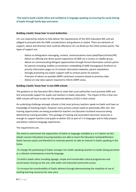-The need to build a Gaelic ethos and confidence in language speaking via ensuring the social sharing of Gaelic through family days and events.

#### **Building a Gaelic 'know how' in Local Authorities**

LA's are required by statute to fully deliver the requirements of the 2015 Education Bill, and are obliged to proceed with the GME considerations and guidance as stated. There are elements of support, advice and direction that could be offered to LA's via BnaG (as the initial contact point). The types of support are;

- Advice on bilingualism messaging, content, communications tools (web/flyers/articles/PR).
- Advice on offering one direct parent experience of GME via a nursery or toddler group.
- Advice on communicating bilingual opportunities through formal information contact points for parents including; leaflets at enrolment, embedding of GME messaging at forefront on priority information pages on LA schools information websites, parent newsletters.
- Strongly promoting any Gaelic support staff as contact points for parents.
- Provision of advice on possible GMPE catchment scenarios based on previous data.
- Advice on new data capture required to inform GMPE areas.

#### **Building a Gaelic 'know how' in non GME schools**

The guidance on the Education Bill is likely to state that Local authorities must promote GME and GLE and provide support for pupils and teachers in Gaelic education. The impact of this is that non-GME schools will have to plan for the potential delivery of GLE in their school.

An underlying challenge amongst schools is that most primary teachers speak no Gaelic and have no knowledge of teaching Gaelic. However every primary school needs to potentially offer GLE. GLE training opportunities are being provided for teachers via Education Scotland resources being delivered by training providers. This package of training and associated classroom resources is enough to support teachers and pupils to deliver GLE as part of 1+2 languages and to fully prepare and deliver coherent language experiences.

#### The requirements are;

The need to mainstream the expectation of Gaelic as language available as a 1+2 option via GLE (Gaelic Learner Education) ensuring teachers are able to teach the Education Scotland/Storlann Gaelic learners packs and therefore to motivate parents to take an interest in Gaelic speaking in the home.

-To change the positioning of Gaelic amongst non-Gaelic speaking teachers to Gaelic being perceived as a relevant contemporary minority language.

-To build a Gaelic ethos including signage, simple and transferable cultural programmes and conversation sharing via the arts, with wider and improved community access.

-To increase the transferability of Gaelic delivery through demonstrating the simplicity of use of existing learning resources for new users.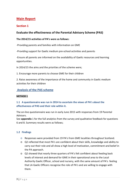# **Main Report**

## **Section 1**

## **Evaluate the effectiveness of the Parental Advisory Scheme (PAS)**

#### **The 2014/15 activities of PA's were as follows:**

-Providing parents and families with information on GME

-Providing support for Gaelic medium pre-school activities and parents

-Ensure all parents are informed on the availability of Gaelic resources and learning opportunities.

In 2014/15 the aims and the priorities of the scheme were;

1. Encourage more parents to choose GME for their children

2. Raise awareness of the importance of the home and community in Gaelic medium activities for their children

## **Analysis of the PAS scheme**

#### **METHOD 1**

## **1.1 A questionnaire was run in 2014 to ascertain the views of PA's about the effectiveness of PAS and their role within it.**

The on-line questionnaire was run in early June 2015 with responses from 19 Parental Advisors.

See **appendix** 1 for the full analytics from the survey and qualitative feedback for questions 6 and 8. Summary results were as follows;

## **1.2 Findings**

- o Responses were provided from 19 PA's from GME localities throughout Scotland.
- o Q2 reflected that most PA's are confident about their skills, knowledge and ability to carry out their role and all show a high level of motivation, commitment and belief in the PA approach.
- o Q2 showed that nearly three quarters of PA's felt confident about feeding back levels of interest and demand for GME in their operational area to the Local Authority Gaelic Officer, school and nursery, with the same amount of PA's feeling that LA Gaelic Officers recognise the role of PA's and are willing to engage with them.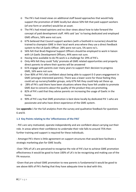- o The PA's had mixed views on additional staff based approaches that would help support the promotion of GME locally but above 50% felt that paid support workers (of one form or another) would be an asset.
- o The PA's had mixed opinions and no clear views about how to take forward the concept of paid development staff. 44% said 'yes' to having dedicated and employed GME officers, 56% were not sure.
- o 67% believed that Council support workers (with a foothold in nurseries) should be trained to champion GME in their local work area where they use a direct feedback system to the LA Gaelic Officer. 28% were not sure, 5% were no's.
- o 56% felt that BnaG Regional Support Officers should be employed to work in liaison with LA Gaelic Development Officers, 44% were not sure.
- o Having time available to do PA work is a challenge for 29% of PA's.
- o Only 44% felt they could 'fully' promote all GME related opportunities and properly direct parents to where their queries will be answered
- o 61% engage with parents over many years to support their decision to progress GME, 16% were not sure.
- o Over 80% of PA's felt confident about being able to support 0-3 years engagement in GME (amongst interested parents). There was a lower score for those feeling they could set up nursery/toddler groups, only 67% felt they could help set these up.
- o 28% of PA's said there have been situations where they have felt unable to promote GME due to concerns about the quality of the product they are promoting.
- o 82% of PA's said that they advise parents on increasing the usage of Gaelic in the home.
- o 90% of PA's say that GME promotion is best done locally by dedicated PA 's who are passionate and who have direct experience of the GME system.

See **appendix** 1 for the full analytics from the survey and qualitative feedback for questions 6 and 8.

## **1.3 Key Points relating to the 'effectiveness of the PAS'**

- PA's are very motivated, operate independently and are confident about carrying out their role. In areas where their confidence to undertake their role falls to around 75% then further training and support is required for these individuals.

- Amongst PA's there is little agreement on support structures that would best facilitate a strategic marketing plan for GME locally.

-Over 70% of LA's are perceived to recognise the role of PA's but to achieve GME promotion effectiveness it would be good to have 100% of LA's to be recognising and making use of the PA resource.

-Given that pre-school GME promotion to new parents is fundamental it would be good to see above 66% of PA's feeling that they have adequate time to deal with this.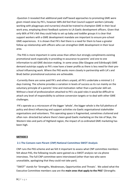-Question 3 revealed that additional paid staff based approaches to promoting GME were given mixed views by PA's, however 68% did feel that Council support workers (already working with playgroups and nurseries) should be trained to champion GME in their local work area, employing direct feedback systems to LA Gaelic development officers. Given that only 66% of PA's felt they could help to set up baby and toddler groups it is clear that support workers with a GME development mandate are important to ensure pre-school GME experiences. It is shown that PA's feel there is a need for them to have a greater follow up relationship with officers who can strengthen GME development in their local area.

-The PAS is more important in some areas than others but strongly compliments existing promotional work especially in providing re-assurance to parents' and one to one information to aid GME decision-making. In some areas (like Glasgow and Edinburgh) GME demand outstrips supply so PA's now have a lower profile as there is less need for their preschool influencing work. Where the PAS works more closely in partnership with LA's and BnaG better promotional outcomes are achievable.

-Currently there are some paid PA's and others unpaid, all PA's undertake a minimal 1-2 days training. The scheme provides a variation in levels of success as its run mainly on the voluntary principle of a parents' time and motivation rather than a particular skill-set. Without a level of professionalism attached to PA's via paid roles it would be difficult to attach any level of responsibility to achieve conversion targets or to deal with other GME challenges.

-PA's operate as a microcosm of the bigger 'whole', the bigger whole is the full plethora of policy and direct influencing and support activities via Gaelic organisational stakeholder organisations and volunteers. This operating space is fragmented, sometimes cluttered and often non- directed but where there's been good Gaelic marketing on the Isle of Skye, the Western Isles and parts of Highland region, the impact of co-ordinated GME marketing has been high.

## **METHOD 2**

## **2.1 The Comann nam Pàrant** (**CNP) National Committee SWOT Analysis**

CNP runs the PAS scheme and we felt it important to assess what CNP committee members felt about PAS, the following results were gained via a SWOT analysis ran via phone interviews. The full CNP committee were interviewed (other than two who were unavailable, apologising that they could not take part).

"SWOT" stands for 'Strengths, Weaknesses, Opportunities and Threats'. We asked what the Executive Committee members saw are the **main ones that apply to the PAS**? (Strengths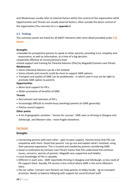and Weaknesses usually refer to internal factors within the control of the organisation while Opportunities and Threats are usually external factors, often outside the direct control of the organisation.)The interview list is in **appendix 2:**

## **2.2 Findings**

The summary points are listed for all SWOT elements with more detail provided under **Full Detail.**

## **Strengths**

- •Valuable for prospective parents to speak to other parents; providing trust, empathy and reassurance, as well as information, at a time of a big decision.
- •Especially effective at nursery/primary level.
- •Good support and training for Parental Advisors (PAs) by Magaidh/Comann nam Pàrant.

## **Weaknesses**

- Some individual Advisors can be a bit isolated.
- Some schools and councils could do more to support GME options.
- Transport and quality of GME can be problematic in which case it may not be right to promote GME option to parents.

## **Opportunities**

- More local support for PA's.
- Wider promotion of benefits of GME.

## **Threats**

- Recruitment and retention of PA's.
- Increasingly difficult to involve busy (working) parents (in GME generally).
- Patchy council support.

## **Other points**

• A lot of geographic variation - 'horses for courses'*.* GME seen as thriving in Glasgow and Edinburgh, and Western Isles - more fragile elsewhere.

## **Full Detail**

## **Strengths**

- Connecting parents with each other peer-to-peer support. Parents know that PAs can empathise with them. Good that parents' can go out and explain what's involved, using their personal experience. This is trusted and needed by parents considering GME.
- Good co-ordination by Comann nam Pàrant means that PAs understand the common issues, concerns, worries of parents. Magaidh very supportive and helpful.
- Local knowledge of PAs is valuable.
- Different in each area GME reportedly thriving in Glasgow and Edinburgh, so less need of PA support there. Equally, PA service is less critical where GME is the norm (Western Isles).
- PAs (or rather, Comann nam Pàrant) can help parents to lobby locally eg on transport provision. Needs to balance lobbying with support for council/school staff.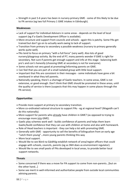• Strength in past 5-6 years has been in nursery-primary GME - some of this likely to be due to PA service (eg two full Primary 1 GME intakes in Edinburgh).

#### **Weaknesses**

- Lack of support for individual Advisors in some areas depends on the level of local support (eg if a Gaelic Development Officer is available).
- More structure and support from councils and schools again this is patchy. Some PAs get trained but don't go on to actually work owing to lack of support.
- Transition from primary to secondary a possible weakness (nursery to primary generally works quite well).
- PAs tend to focus on primary "with a full force" (very well). Also lots of good nursery/playgroup activity. By the end of P7, many parents wonder if GME is right for secondary. Not sure if parents get enough support and info at this stage - balancing both pro's and con's honestly (choosing GME at secondary is not for everyone).
- Some schools not very good at promoting/informing parents on GME.
- Can feel that you are part of a small isolated group with little local support.
- Important that PAs are consistent in their messages some individuals have gone a bit overboard in what they tell parents.
- Nationally speaking, there's a shortage of Gaelic teachers. In some areas, GME is not extensive, or good enough. Don't think that GME should be promoted in these areas, until the quality of service is there (suspects that this may happen in some places through the PA service).

## **Opportunities**

- Provide more support at primary to secondary transition.
- More co-ordinated national structure to support PAs eg at regional level? (Magaidh can't do this nationally).
- More support for parents who already have children in GME? (as opposed to trying to encourage more into GME).
- Gaelic play schemes work well builds confidence of parents and helps them learn Gaelic/build confidence that they can use with children at home and also with homework.
- Role of Head teachers is important they can help a lot with promoting GME.
- Generally with GME opportunity to sell the benefits of bilingualism from an early age "catch them young"…more young parents thinking this way
- More local support.
- Would like to see Bòrd na Gàidhlig establish network of area/region officers that could engage with schools, councils, parents (eg as SNH does as environment regulator).
- Would like to see small pools of PAs developed in local areas, to provide better local support networks.

## **Threats**

- Some concerned if there was a move for PA support to come from non-parents…[but on the other hand…]
- Some see merit in well-informed and authoritative people from outside local communities advising parents.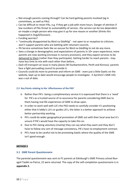- Not enough parents coming through? Can be hard getting parents involved (eg in committees, as well as PAs).
- Can be difficult to retain PAs, e.g. if they get a job with more hours. Danger of attrition if low numbers of PAs threat to sustainability of service…the service can be too dependent on maybe a single person who may give it up for one reason or another (thinks this happened in Argyll/Dunoon) .
- Funding worries?
- "continually disappointed by Bòrd na Gàidhlig" not open to or receptive to criticism; won't support parents who are battling with reluctant councils.
- PA Service sometimes feels like an excuse for Bòrd na Gàidhlig to not do any more.
- Sees a change in demographics and expectations of parents in 10+ years experience; more parents are now working (increase in nursery provision), and they expect services to be delivered to them (rather than they participate). Getting harder to reach parents - may have less time to mix with each other than before…
- (lack of) transport an issue in many places (W Dunbartonshire, Perth and Kinross)- parents face a fight persuading council to provide it.
- Councils could do more to promote and inform on GME even just a little Gaelic on the website, kept up to date would encourage people to investigate - E Ayrshire's GME info was v out of date.

## **2.3 Key Points relating to the 'effectiveness of the PAS'**

- o Rather than PA's being a complimentary service it is expressed that there is a 'need' for PA's as a trusted source of re-assurance for parents considering GME due to them having real life experiences of GME to draw upon.
- o In order to work well with LA's the PAS needs to carefully consider it's positioning either that it lobby's LA's or guides LA's, the latter is a better approach to achieve better partnership working.
- o PA's could do wider geographical promotion of GME out with their local area but it's unsure if PA's would have the capacity to take this on.
- o Due to PA's being voluntary (mainly) they can say what they want and they don't have to follow any sort of message consistency, PA's have no employment contract.
- o PA's have to be careful not to be promoting Gaelic where the quality of the GME isn't good enough.

## **METHOD 3**

## **3.1 GME Parent Questionnaire**

The parental questionnaire was sent to P1 parents at Edinburgh's GME Primary school Bunsgoil Taobh na Pairce, 22 were returned. The copy of the self-completion questionnaire is in **appendix 2.**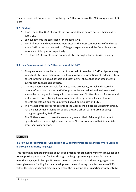The questions that are relevant to analysing the 'effectiveness of the PAS' are questions 1, 3, 4 &9.

## **3.2 Findings**

- o It was found that 86% of parents did not speak Gaelic before putting their children into GME.
- o Bilingualism was the top reason for choosing GME.
- o Word of mouth and social media were cited as the most common way of finding out about GME in the local area with cròileagain experiences and the Councils website second and third places respectively.
- o Less than 5% of parents found out about GME through a Parent Advisor directly.

## **3.3 Key Points relating to the 'effectiveness of the PAS'**

- o The questionnaire results tell us that the formal LA provider of GME still plays a very important GME information role (via formal website information imbedded in official parent information about schools and catchments) above that of printed material, events stands, flyers and posters.
- o There is a very important role for LA's to have pro-active, formal and accessible parent information sources on GME opportunities embedded and mainstreamed across the nursery and primary school enrolment and NHS touch-posts for anti-natal and onwards care. Utilising formal communication systems will mean that no parents are left out and /or uninformed about bilingualism and GME.
- o The PAS had little profile for parents at the Gaelic school because Edinburgh already has a higher demand than it can supply thus pre-school parents are not being strongly targeted by PAS efforts.
- o The PAS has shown to currently have a very low profile in Edinburgh but cannot operate where there is higher need because PA's only operate in their immediate area. See *scope* section.

#### **METHOD 4**

## **4.1 Review of report titled: Comparison of Support for Parents in Schools where Learning is through a Minority language**

This report has gathered findings about good practice for promoting minority languages and for supporting parents and families through the language learning process for several minority languages in Europe. However the report points out that these languages have been given more funding for their development. In considering the effectiveness of PAS within the context of good practice elsewhere the following point is pertinent to this study;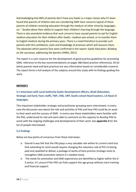Acknowledging that 86% of parents don't have any Gaelic is a major reason why it's been found that parents of children who are considering GME have concerns typical of those parents of children receiving education through the medium of other minority languages, viz. " doubts about their ability to support their children's learning through the language. There is also anecdotal evidence that such concerns have caused parents to opt for Englishmedium education for their children after Gaelic –medium pre-school, or to transfer them to English-medium during the primary years. There is a need therefore to provide such parents with the confidence, tools and knowledge of practices which will reassure them. The obstacles which parents face were confirmed in the report: Gaelic Education: *Building on the successes, addressing the barriers* (HMIe, 2011)

The report is a core resource for the development of good practice guidelines for promoting GME, reference to the key recommendations on pages 3&4 (best practice references), 56-62 (what parents need and best practice) are very informative based on considerable research. The report forms a full analysis of the subjects around this study with its findings guiding this work.

#### **METHOD 5**

## **5.1 Interviews with Local Authority Gaelic Development officers, BnaG (Education, Strategic and Early Years staff), TWF, CNG, CNP, Gaelic school Head teachers, LA Head of languages.**

This important stakeholder strategic and practitioner grouping were interviewed. In every case the discussion was about the role and activities of PAS and how PAS could be an asset to their work and the success of GME. In every case these stakeholders were familiar with the PAS, understood its role and were able to comment on the capacity to develop PAS to assist with the ongoing challenges and developments of their work. See **appendix 3** for the list of people interviewed.

#### **5.2 Findings**

Below are key points of consensus from these interviews:

- o Overall it was felt that the PAS plays a very valuable role within its current remit but that extending its remit would require changing the voluntary role of PA's to being paid and upskilled to deliver a package of works of best practice strategic tools to strengthen GME promotion (where it's needed most).
- o The needs for promotion and GME experiences are identified as higher within the 0- 3 sector, it's unsure if the PAS can fully support this age group without more training and financial support.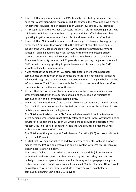- o It was felt that any investment in the PAS should be directed by area plans and the need for PA provision where most required, for example the PAS could have a more fundamental volunteer role in dissemination work in low uptake GME locations.
- o It is recognised that the PAS has a successful informal role in supporting parents with children in GME but sometimes has patchy links with LA staff which means that operating together for maximum impact isn't addressed and is therefore lost.
- o It was felt that PAS should fit into an overall area support plan and strategy (led by either the LA or BnaG) that works within the plethora of parental touch points including the LA's Gaelic Language Plans, SOA's, equal attainment government strategies, ongoing nursery activities, schools' enrolment and ongoing school parental communications and NHS (pre and post-natal) services to school age.
- o There was little clarity on how the PAS goes about supporting the parents already in GME out with basic sign-posting to gaelic learner websites and using the GME schools building for communications.
- o It was felt that the approach of PAS brings significant benefit within parental communities but that often these benefits are not formally recognised as they're achieved through one to one conversations, social media sharing and below the line informal events. The PAS works out with the formal structures and thus therefore complimentary activities are not optimised.
- o The fact that the PAS is a local and semi-permanent force in communities was strongly supported with the approach of building the school and nurseries as communication and information sharing points.
- o The PAS is fragmented, there's not a PA in all GME areas. Some areas would benefit from the PAS more than others but the PAS cannot account for this as it would take mobile parent volunteers coming forward.
- o The PAS does not exist out with GME areas which means it does little to develop latent demand where there is not already established GME, in this way it provides no structure to support the Education Bill which aims to provide the opportunity to request GME in all parts of Scotland. As it is the PAS provides no responsiveness and/or support to non GME areas.
- o The PAS does nothing to support Gaelic Learner Education (GLE) as currently it's not part of the PAS remit.
- o It is felt that PAS being attached to CNP (who provides parental lobbying support) means that the PAS can be perceived as being in conflict with LA's- this is seen as a slightly negative starting point.
- o There was a feeling that unpaid PA's come in with mixed skills (although always enthusiastic and passionate) but that they can say and do as they want and are unlikely to have a background in community planning and language planning or an early learning background. In contrast a formal paid PAS Development Officer would be well trained with work targets, work closely with delivery stakeholders, community planning, SOA's and GLE (maybe).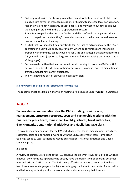- o PAS only works with the status quo and has no authority to resolve local GME issues like childcare cover for cròileagain sessions or funding to increase local participation. Also the PAS are not necessarily educationalists and may not know how to achieve the backing of staff within the LA's operational structure.
- o Some PA's are paid and others aren't- the model is confused. Some parents don't want to be paid as they feel they'd be under pressure to deliver and would have to take care about what they say.
- o It is felt that PAS shouldn't be a substitute for LA's lack of activity because the PAS is operating in a very fluid policy environment where opportunities are there to be grabbed via community capacity building for GME and strategic development for the 0-3 year old sector (supported by government ambition for raising attainment and 1 +2 languages).
- o PA's are useful within their current remit but do nothing to promote GME and GLE out with their direct GME area so their remit is constrained in terms of aiding Gaelic growth amongst new parent audiences.
- o The PAS should be part of an overall local action plan.

## **5.3 Key Points relating to the 'effectiveness of the PAS'**

The recommendations from an analysis of findings are discussed under **'Scope'** in Section 2

## **Section 2**

# **To provide recommendations for the PAS including; remit, scope, management, structure, resources, costs and partnership working with the BnaG early years' team, Iomairtean Gaidhlig, schools, Local authorities, Gaelic organisations, national initiatives and Gaelic language plans.**

To provide recommendations for the PAS including; remit, scope, management, structure, resources, costs and partnership working with the BnaG early years' team, Iomairtean Gaidhlig, schools. Local authorities, Gaelic organisations, national initiatives and Gaelic language plans.

## **2.1 Scope**

A review of section 1 reflects that the PAS continues to do what it was set up to do which is a network of enthusiastic parents who already have children in GME supporting potential, new and existing GME parents. The PAS is very effective within its current remit (where it has chosen to operate geographically) acknowledging the in-built constraints of informality and lack of any authority and professional stakeholder influencing that it entails.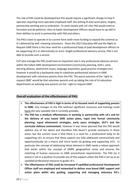The role of PAS could be developed but this would require a significant change to how it operates requiring more specialist employed staff, the setting of area work plans, targets, partnership working and co-ordination. To work closely with LA's the PAS would need to formalise and de-politicise. Also LA Gaelic Development Officers would have to up-skill in their abilities to work in partnership with PAS and others.

The PAS is best to operate in its current form (with more funding to expand the scheme) as it's delivered by well -meaning volunteers. Given the 2015 Education Bill and the Right to Request GME there is the clear need for a professional body of paid development officers to be supporting LA's or alternatively an arms- length professional advisory service, PAS is not able to provide such a service.

CnP who manage the PAS could have an important role in any professional advisory service within the fullest GME development environment (community planning, SOA's, early learning alliance, attainment issues, language acquisition, good practice strategies etc) however it would be a backwards step to substitute professional advisors in GME development with voluntary parents from the PAS. The worst outcome of the 'right to request GME' would be that volunteer parents end up taking the role of LA education departments on advising new parents on the ' right to request GME'.

## **Overall evaluation of the effectiveness of PAS:**

- o **The effectiveness of PAS is high in terms of its focused remit of supporting parents in GME.** Any changes to the PAS (without significant resources and training) could harm the very valuable role it currently provides.
- o **The PAS has a medium effectiveness in working in partnership with LA's and for the delivery of area based GME action plans, input into formal community planning, equal attainment strategies, early years strategies, GLP's and the curricular delivery environment.** However it was never planned that the PAS would address any of the above and therefore PAS doesn't provide assistance in these areas, but the current issue is that there is a *need* for a professional body to be supporting LA's to ensure that these aspects are fully addressed constructively and opportunistically (at a macro and micro level) via guiding and supporting LA'S. In particular the concept of addressing latent demand in GME needs a robust approach that works within the concept of GMPE geographical zones and ensures the matching of human resources to GME promotional requirements. The PAS (as it exists) is not in a position to provide any of this support unless the PAS is set up as an upskilled professional resource to guide LA's.
- o **The effectiveness of PAS could be increased if upskilled professional Development Officer staff are employed and networked to deliver area based GME support and action plans whilst also guiding, supporting and managing voluntary PA's.**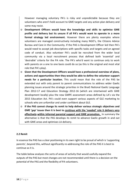However managing voluntary PA's is risky and unpredictable because they are volunteers who aren't held account to GME targets and any action plan delivery and some may resist.

- o **Development Officers would have the knowledge and skills to optimise GME profile and delivery but its unsure if all PA's would want to operate in a more formal strategy led environment.** However there are plenty examples where volunteers are managed constructively including many NGO's, the Citizens Advice Bureau and Care in the Community. If the PAS is Development Officer led then PA's would need to accept job descriptions with specific tasks and targets and an agreed code of conduct. Also volunteer PA's could be recruited from the wider local community via a local recruitment process that defined both 'essential' and 'desirable' criteria for the PA role. The PA's who'd want to continue only to work with parents on a one to one basis could do so (as this is the original and most vital role that PA's play).
- o **Given that the Development Officers would have a professional overview of plans, actions and opportunities then they would be able to define the volunteer support needs for a particular location.** This could mean that the role of the PAS be extended out with only parent to parent communications to address wider Gaelic planning issues around the strategic priorities in the BnaG National Gaelic Language Plan 2012-17 and Education Strategy 2012-16 (which are intertwined with GME development locally) plus the new GMPE assessment areas defined by LA's via the 2015 Education Act. PA's could even support various aspects of GLE marketing to schools who are unfamiliar and under confident about GLE.
- o **If the PAS cannot change its remit to help deliver various strategic objectives and GME 'gap' issues then it is best to continue with the 'needed' role it delivers very effectively within informal parental support and GME promotion.** In summary the alternative is that the PAS develops its remit to advance Gaelic growth in and out with GME areas and optimises LA delivery.

## **2.2 Remit**

In essence the PAS has a *clear positioning* in its own right to be proud of which is 'supporting parents', beyond this, without significantly re-addressing the role of the PAS it is best to continue as it is.

The table below analyses the sorts of areas of activity that would usefully expand the outputs of the PAS but most changes are not recommended until there is a decision on the potential of the PAS and the flexibility of PA volunteers.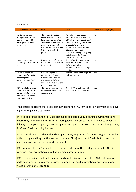#### Analysis Table

| <b>PAS Development Action</b>                                                                                                      | <b>PROS</b>                                                                                                                                                                                             | <b>CONS</b>                                                                                                                                                                                                                                                                                                | Recommended (yes/no) |
|------------------------------------------------------------------------------------------------------------------------------------|---------------------------------------------------------------------------------------------------------------------------------------------------------------------------------------------------------|------------------------------------------------------------------------------------------------------------------------------------------------------------------------------------------------------------------------------------------------------------------------------------------------------------|----------------------|
|                                                                                                                                    |                                                                                                                                                                                                         |                                                                                                                                                                                                                                                                                                            |                      |
| PAS to work within<br>strategic plans for the<br>local area (led by CNP<br>Development Officer<br>knowledge)                       | This is a positive step<br>which would mean that<br>PA's would be recruited in<br>areas where they are most<br>needed and work within<br>co-ordinated plans around<br>0-3 and 3-5 yrs GME<br>promotion. | As PAS was never set up to<br>promote Gaelic out with areas<br>of GME provision then it's not<br>likely that existing PA's would<br>expect to take on any<br>additional activities around<br>SOA's and community<br>language planning or anything<br>outwith their GME school,<br>nursery and croilleagan. | No                   |
| PAS to set minimal<br>marketing efforts for local<br>areas                                                                         | It would be satisfying for<br>PA's to see tangible return<br>for their efforts.                                                                                                                         | The PAS project has always<br>been informal and unpaid<br>PA's are unlikely to be<br>responsive to personal target<br>setting.                                                                                                                                                                             | <b>No</b>            |
| CNP to re-define job<br>descriptions for the PAS<br>scheme against the<br>current National GME<br>operating landscape.             | It would be good to<br>remind PA's of their<br>successful role and include<br>the ways that PA's can<br>increase their value within<br>Gaelic promotion                                                 | Some PA's may want to go on<br>only as they are.                                                                                                                                                                                                                                                           | Yes                  |
| CNP provide funding to<br>up-skill existing PA's to<br>work closely to boost,<br>support and further 0-3<br>year olds initiatives. | This move would tie in to<br>BnaG policy for 0-3 year<br>engagement.                                                                                                                                    | Not all PA's are at ease with<br>this age group but some are.                                                                                                                                                                                                                                              | Yes                  |

The possible additions that are recommended to the PAS remit and key activities to achieve higher GME gain are as follows:

-PA's to be briefed on the full Gaelic language and community planning environment and where they fit within it in terms of furthering local GME aims. This also needs to cover the delivery of 0-3 year support, partnership working approaches with NHS and Book Bugs, LA's, BnaG and Gaelic learning journeys.

-PA's to work in a co-ordinated and complimentary way with LA's (there are good examples of this in Highland Region, the Western Isles and Skye) to support Gaelic but to keep their main focus on one to one support for parents.

-PA recruitment to be 'needs' led or be prioritised where there is higher need for Gaelic awareness and promotion as well as ongoing parental support.

-PA's to be provided updated training on where to sign-post parents to GME information and Gaelic learning -as currently parents enter a cluttered information environment and would prefer a one-stop shop.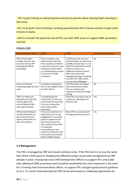- PA's to get training on delivering best practice to parents about sharing Gaelic learning in the home.

-PA's to be given more training in working operationally with 0-3years parents to gain early interest in Gaelic.

-CNP to consider the potential role of PA's out with GME areas to support GME promotion and GLE.

#### Analysis Table

| <b>PAS Development Action</b>                                                                                                      | <b>PROS</b>                                                                                                                                                                                                                                                                                      | <b>CONS</b>                                                                                                                                                                                                                                                                                                | Recommended (yes/no) |
|------------------------------------------------------------------------------------------------------------------------------------|--------------------------------------------------------------------------------------------------------------------------------------------------------------------------------------------------------------------------------------------------------------------------------------------------|------------------------------------------------------------------------------------------------------------------------------------------------------------------------------------------------------------------------------------------------------------------------------------------------------------|----------------------|
|                                                                                                                                    |                                                                                                                                                                                                                                                                                                  |                                                                                                                                                                                                                                                                                                            |                      |
| PAS to work within<br>strategic plans for the<br>local area (led by CNP<br>Development Officer<br>knowledge)                       | This is a positive step<br>which would mean that<br>PA's would be recruited in<br>areas where they are most<br>needed and work within<br>co-ordinated plans around<br>0-3 and 3-5 yrs GME<br>promotion.                                                                                          | As PAS was never set up to<br>promote Gaelic out with areas<br>of GME provision then it's not<br>likely that existing PA's would<br>expect to take on any<br>additional activities around<br>SOA's and community<br>language planning or anything<br>out with their GME school,<br>nursery and cròileagain | <b>No</b>            |
| PAS to set minimal<br>marketing targets for local<br>areas                                                                         | It would be satisfying for<br>PA's to see tangible return<br>for their efforts.                                                                                                                                                                                                                  | The PAS project has always<br>been informal and unpaid<br>PA's are unlikely to be<br>responsive to personal target<br>setting.                                                                                                                                                                             | <b>No</b>            |
| CNP to re-define job<br>descriptions for the PAS<br>scheme against the<br>current National GME<br>operating landscape.             | It would be good to<br>remind PA's of their role<br>and include the ways that<br>PA's can increase their<br>value within Gaelic<br>promotion                                                                                                                                                     | Some PA's may want to go on<br>as they are, operating in an<br>informal way.                                                                                                                                                                                                                               | Yes                  |
| CNP provide funding to<br>up-skill existing PA's to<br>work closely to boost,<br>support and further 0-3<br>year olds initiatives. | This move would tie in to<br>BnaG policy for 0-3 year<br>engagement. It would be<br>good to capture the full<br>potential of some PA's<br>who could have the skills<br>to undertake<br>presentations to new<br>parents via NHS anti-natal<br>touch points and activate<br>baby & toddler groups. | Not all PA's are at ease with<br>this age group but some are.                                                                                                                                                                                                                                              | Yes                  |

## **2.3 Management**

The PAS is managed by CNP and should continue to be. If the PAS remit is to stay the same then there's little point in changing the effective (under-resourced) management by CNP already in place. Having two more CNP Development Officers to support PA's and under take additional GME promotion work would be worthwhile but most important is the need for a Training and Communications officer, to support PA's and give good practice guidance to LA's. It's worth remembering that CNP can be perceived as a lobbying organisation by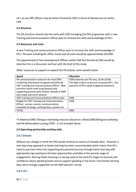LA's so any CNP officers may be better fronted by CNG in terms of identity but sit within CNP.

## **2.4 Structure**

The PA structure should stay the same with CNP managing the PAS programme with a new Training and Communications Officer post to increase the skills and knowledge of PA's.

#### **2.5 Resources and Costs**

A new Training and Communications Officer post to increase the skills and knowledge of PA's. The post including NI, office, travel and all costs would be approximately £50,000.

The appointment of two Development Officers within CNP but fronted as CNG would be ideal but this is a discussion *well out with the brief of this study.* 

Other resources to support or expand the PA activity remit would involve: **Spend Allocation** 

| spena                                             | Allocation                                       |
|---------------------------------------------------|--------------------------------------------------|
| PA communications resources for local GME         | £500 expenses per PA area, 32 No (£16k)          |
| marketing, distributed via agreed priorities by   | This figure takes no account of paying PA's. Any |
| CNP Training and Communications Officer. New      | payment of PA's needs budgeted elsewhere.        |
| priorities would need to go beyond only           |                                                  |
| supporting parents with children already in GME   |                                                  |
| (see scope and remit section)                     |                                                  |
| CNP Training and Communications Officer post      | £50k                                             |
| <b>Budget for CNP Training and Communications</b> | £30k                                             |
| Officer: venues, events, communications           |                                                  |
| templates & design, printing flyers, posters etc  |                                                  |
| <b>TOTAL</b>                                      | £96k                                             |

\*A National GME/ bilingual marketing resource (based on a BnaG GME/bilingual marketing tool-kit deliverables) costing £70K+ is not included above.

## **2.6 Operating partnership working with;**

#### **2.6.1 Schools**

Without any change in remit the PAS would continue to work as it already does. However a one-stop shop approach to Gaelic learning has been recommended which means that PA's need to put more time into supporting the parental journey through Gaelic learning with appropriate sign-posting to the best opportunities available at the parents stage of engagement. Sharing Gaelic learning is a strong need at the early P1 stages to increase selfconfidence about speaking Gaelic and to support speaking in the home. Free family learning days were strongly supported via the GME parents' survey.

#### **2.6.2 LA's**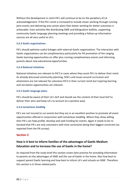Without the development in remit PA's will continue to be on the periphery of LA acknowledgement. If the PA's remit is increased to include closer working through running joint events and delivering area action plans then better working for better outcomes is achievable. Even activities like distributing GME and bilingualism leaflets, supporting community Gaelic language planning meetings and providing a follow-up information sources are all very useful to LA's.

## **2.6.3 Gaelic organisations**

PA's should optimise useful linkages with external Gaelic organisations. The interaction with Gaelic organisations can be complimentary particularly for PA promotion of the ranging Gaelic learning opportunities on offer plus running complimentary events and informing parents about new educational opportunities.

## **2.6.4 National initiatives**

National initiatives are relevant to PA'S in cases where they assist PA's to deliver their remit. As already discussed community planning, SOA's and issues around curriculum and attainment are not relevant for voluntary PA'S in their current remit but inspiring learning and recreation opportunities are relevant.

## **2.6.5 Gaelic language plans**

PA's should be aware of their LA's GLP and should use the content of their local GLP to deliver their aims and keep LA's to account (in a positive way).

## **2.6.6 Iomairtean Gaidhlig**

PA's are not insured to run events but they are in an excellent position to promote all event opportunities offered in conjunction with Iomairtean Gaidhlig. Where they show willing then PA's can help profile, develop and seek funding for events. Again it needs to be reiterated that PA's are only volunteers with time constraints being their biggest constraint (as reported from the PA survey).

## **Section 3**

# **How is it best to inform families of the advantages of Gaelic Medium Education and to increase the use of Gaelic in the home?**

As required from the study brief this section covers best practice for providing information to parents on the advantages of GME and the use of Gaelic in the home. Also how best to support parent Gaelic learning and how best to inform LA's and schools on GME. Therefore this section is in three related parts.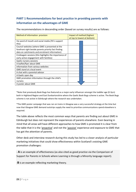# **PART 1 Recommendations for best practice in providing parents with information on the advantages of GME**

The recommendations in descending order (based on survey results) are as follows:

| Method of information provision                         | Impact of method (highest<br>at top to lowest at bottom) |  |  |
|---------------------------------------------------------|----------------------------------------------------------|--|--|
| Via word of mouth and social media (PA's support        |                                                          |  |  |
| this)                                                   |                                                          |  |  |
| Council websites (where GME is presented at the         |                                                          |  |  |
| forefront right beside parents priority fact finding    |                                                          |  |  |
| data on catchments and enrolment information)           |                                                          |  |  |
| Croileagain sessions (this highlights the importance of |                                                          |  |  |
| early active engagement with families)                  |                                                          |  |  |
| Gaelic nursery sessions                                 |                                                          |  |  |
| A leaflet/flyer about GME                               |                                                          |  |  |
| Information from various websites                       |                                                          |  |  |
| <b>GME</b> stand at a local event                       |                                                          |  |  |
| A chat with a parental advisor                          |                                                          |  |  |
| A Gaelic open day                                       |                                                          |  |  |
| GME promotion information through the child's           |                                                          |  |  |
| nursery                                                 |                                                          |  |  |
| A poster about GME                                      |                                                          |  |  |

\*Note that previously Book Bugs has featured as a major early influencer amongst the toddler age (0-3yrs) both in Highland Region and East Dunbartonshire where the Gaelic Book Bugs scheme is active. The Book Bugs scheme is not active in Edinburgh where the research was undertaken.

\*The GME poster campaign that was ran on trains in Glasgow was a very successful strategy at the time but now that Glasgow GME demand outstrips supply the need to prioritise communications spend elsewhere is required.

The table above reflects the most common ways that parents are finding out about GME in Edinburgh but does not represent the experiences of parents elsewhere. Even bearing in mind that all areas will have different approaches to how GME is promoted it is clear from the table that it is the 'proactive' and not the 'passive' experience and exposure to GME that has got the attention of parents.

Other desk and interview research during this study has led to a closer analysis of particular marketing initiatives that could show effectiveness within Scotland's existing GME promotion challenges:

- **A** is an example of effectiveness (as also cited as good practice via the Comparison of Support for Parents in Schools where Learning is through a Minority language report).

-**B** is an example reflecting marketing theory.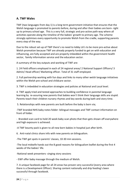## **A. TWF Wales**

TWF (two languages from day 1) is a long term government initiative that ensures that the Welsh language is promoted to parents before, during and after their babies are born- right up to primary school age. This is a very full, strategic and pro-active path-way where all activities operate along the timeline of the babies' growth to primary age. The scheme strongly optimises every opportunity to promote Welsh from the cradle, supporting parents every step of the way.

Due to the robust set-up of TWF there's no need to lobby LA's to be more pro-active about Welsh promotion because TWF are already properly funded to get on with education and influencing, are fully accepted and are properly imbedded within the government health sector, family information service and the education sector.

A summary of the key outputs and working of TWF are:

1. 24 Field officers employed in each of 24 regional areas/ 2 National Support Officers/ 3 Admin/ Head officer/ Marketing officer. Total of 31 staff employed.

2. Full partnership working with fun days and links to many other welsh language initiatives within the Welsh pre-school and childcare sector.

3. TWF is imbedded in education strategies and policies at National and Local level.

4. TWF apply tried and tested approaches to building confidence in parental language learning by re-assuring new parents that babies won't think their language skills are stupid. Parents teach their children nursery rhymes and key words during bath and story time.

5. Relationships with new parents are built before the baby is born via;

-TWF branded NHS baby notes folder- bilingual messages and TWF contact information on front of folder.

- Branded scan card to hold 20 week baby scan photo that then gets shown off everywhere and high exposure is achieved.

-A TWF bounty pack is given to all new born babies in hospital just after birth.

6. Anti-natal clinics share info with new parents on bilingualism.

-The TWF get spots in parents' classes, 10-30 min sessions.

-The local midwife hands out the 8 good reasons for bilingualism leaflet during the first 4 weeks of the babies' life.

-National week presenters- singing story sessions

- EWF offer baby massage through the medium of Welsh.

7. A unique facebook page for all 24 areas has proven very successful (every area where there is a Development Officer). Sharing content nationally and drip feeding's been successful through facebook.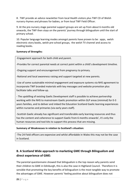8 . TWF provide an advice newsletter from local Health visitors plus TWF CD of Welsh nursery rhymes and phrases for babies, or from local TWF Field Officer.

9. At the pre-nursery stage parental support groups are set up from about 6 months old onwards, the TWF then stays on the parents' journey through bilingualism until the start of primary school.

10. Popular language learning modes amongst parents have proven to be : apps, welsh electronic story books, welsh pre-school groups, the welsh TV channel and access to reading books.

## **Summary of Strengths:**

-Engagement approach for both child and parent.

-Provides for correct parental needs at correct point within a child's development timeline.

-Ongoing support and encouragement from pregnancy to primary.

-National and local awareness raising and support targeted at new parents.

-Use of some sustainable minimal engagement and exposure systems via NHS agreement to incorporate TWF branded materials with key messages and website promotion plus facilitate talks and follow-up.

- The upskilling of existing Gaelic Development staff is possible to achieve partnership working with the NHS to mainstream Gaelic promotion within GLP areas (minimal) for 0-3 years families, and to deliver and imbed the Education Scotland Gaelic learning experiences within nurseries and primaries (via early years staff).

-Scottish Gaelic already has significant and transferable early learning resources and thus has the content and coherence to support Gaelic from 6 months onwards', it's only the human resources and tool-kits to support this process that are missing.

## **Summary of Weaknesses in relation to Scotland's situation:**

-The 24 Field officers are expensive and whilst affordable in Wales this may not be the case in Scotland.

# **B. A Scotland Wide approach to marketing GME through Bilingualism and direct experience of GME:**

The parental questionnaire showed that bilingualism is the top reason why parents send their children to GME in Edinburgh, this is also the case in Highland Council. Therefore it is sensible that promoting the key benefits of bilingualism is the most tangible way to promote the advantages of GME. However parents' feeling positive about bilingualism does not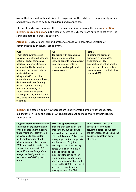assure that they will make a decision to progress it for their children. The parental journey and pathway needs to be fully considered and planned for.

Like most marketing campaigns there is a customer journey along the lines of **attention, interest, desire and action,** in the case of access to GME there are hurdles to get over. The simplistic path for parents is as follows:

**Attention:** Usage of push, pull and profile to engage with parents. A selection of communications' mediums' are relevant.

| Push:                            | Pull:                           | <b>Profile:</b>                 |
|----------------------------------|---------------------------------|---------------------------------|
| (marketing awareness via         | (engaging with parents and      | (building the profile of        |
| websites, leaflets, well planned | illustrating bilingualism       | bilingualism through PR,        |
| National poster campaigns,       | showing benefits through direct | endorsements, 1+2               |
| NHS buy-in to mainstreaming      | experience of parents via       | approaches, scientific proof of |
| hand-out of Gaelic branded       | childcare, cròileagain and      | learning benefits and making    |
| resources during anti-natal and  | nursery events)                 | parents aware of their right to |
| post-natal period,               |                                 | request GME)                    |
| bilingual/GME promotion          |                                 |                                 |
| materials at nursery enrolment,  |                                 |                                 |
| dedicated websites for early     |                                 |                                 |
| parent segment, training         |                                 |                                 |
| teachers on delivery of          |                                 |                                 |
| <b>Education Scotland Gaelic</b> |                                 |                                 |
| learning and play materials and  |                                 |                                 |
| ease of delivery for unconfident |                                 |                                 |
| teachers)                        |                                 |                                 |

**Interest:** This stage is about how parents are kept interested until pre-school decision making level, it is also the stage at which parents must be made aware of their rights to request GME.

| <b>Ongoing momentum: (ensuring</b> | <b>Access to opportunities: (</b> | <b>Re-assurance:</b> (this stage is |
|------------------------------------|-----------------------------------|-------------------------------------|
| activation of engagement and       | ensuring that parents get the     | about a professional re-            |
| ongoing engagement meaning         | chance to try out Book Bugs       | assuring a parent about both        |
| that a member of staff should      | and cròileagain even if it's out  | the advantages of GME and the       |
| be available to contact for        | with their LA area). This access  | quality of education being          |
| further information about          | is very important and supports    | offered).                           |
| bilingualism and GME). In non      | another reason for joint          |                                     |
| GME areas no PA is available to    | working and services sharing      |                                     |
| support the parent which is        | across LA's. The cròileagain      |                                     |
| why PA's are not in a position     | experience will be the            |                                     |
| to support GME growth out          | experiential touch point for      |                                     |
| with dedicated GME growth          | finding out more about GME        |                                     |
| areas.                             | and sharing conversations with    |                                     |
|                                    | others in the GMPE assessment     |                                     |
|                                    | area- and thoughts about          |                                     |
|                                    | making requests for GME.          |                                     |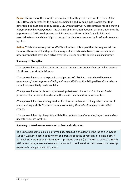**Desire:** This is where the parent is so motivated that they make a request to their LA for GME. However parents (by this point) are being helped by being made aware that four other families must also be requesting GME within their GMPE assessment area and *sharing of information between parents.* The sharing of information between parents underlines the importance of GME development and information officers within Councils, informal parental networks and clear 'right to request' publications prepared by BnaG and circulated by LA's.

**Action:** This is where a request for GME is submitted. It is hoped that this request will be successful because of the depth of planning and interactions between professionals and other parents that have been active over the 2-3 year parental decision making journey.

## **Summary of Strengths:**

-The approach uses the human resources that already exist but involves up-skilling existing LA officers to work with 0-3 years.

-The approach works on the premise that parents of all 0-5 year olds should have *one experience of direct exposure of bilingualism* and GME and that bilingual benefits evidence should be pro-actively made available.

-The approach uses public sector partnerships between LA's and NHS to imbed Gaelic promotion for babies and toddlers via the shared health and social care sector.

-The approach involves sharing services for direct experiences of bilingualism in terms of place, staffing and GMPE zones- thus almost *halving the costs of running toddler* GME groups.

-The approach has high tangibility with better *optimisation of normally fragmented and adhoc* efforts across localities.

## **Summary of Weaknesses in relation to Scotland's situation:**

-It is up to parents to make an informed decision but it shouldn't be the job of a LA Gaelic Support worker to continuously work on parents about the advantages of bilingualism. If National GME promotional information is provided cheaply (as a matter of course) through NHS interactions, nursery enrolment contact and school websites then reasonable message exposure is being provided to parents.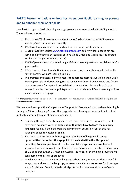# **PART 2 Recommendations on how best to support Gaelic learning for parents and to enhance their Gaelic skills**

How best to support Gaelic learning amongst parents was researched with GME parents' . The results were as follows:

- o 76% of the 86% of parents who did not speak Gaelic at the start of GME are now learning Gaelic or have been recently.
- o 41% have found combined methods of Gaelic learning most beneficial.
- o Usage of Gaelic websites [www.gaelic4parents.com](http://www.gaelic4parents.com/) and www.learn gaelic.net are very popular followed by learning options via BBC Alba and Gaelic courses offered locally and afar (via Summer courses)
- o 100% of parents felt that the full range of Gaelic learning methods' available are of a good quality.
- o 93% of parents have found a Gaelic learning method to suit their needs (within the 76% of parents who are learning Gaelic).
- o The practical and accessibility elements that parents most felt would aid their Gaelic learning were; local classes being run at convenient times, free weekend and family days, the chance for regular informal Gaelic conversation via the school ( as an interaction hub), one central point/place to find out about all Gaelic learning options via an exclusive web-page.

\*Further parent survey references are available on request from previous surveys we undertook in 2015 in Highland and East Dunbartonshire Councils'.

We can also draw upon the 'Comparison of Support for Parents in Schools where Learning is through a Minority language' report that suggests the following as important factors that motivate parental learning of minority languages;

- o Educating through minority languages have been most successful where parents have been equipped with the **expectation that they have to learn the minority language** (Gaelic) if their children are in immersion education (GME), this has strongly applied to Catalan in Spain.
- o Success is achieved where there is **graded provision of language learning opportunities that reflect the age point of the child within the life cycle of parenting**. For example there should be parental engagement approaches and language learning approaches sculpted to the needs and accessibility of the parents of 0-3 ages group, then 3-5 then 5 onwards. The needs of the 0-3 age group are well considered within TWF approaches.
- o The development of the minority language **ethos** is very important, this means full integration and use of the language, for example in Canada consumer food packages are in English and French, in Wales all signs (even for commercial business's) are bilingual.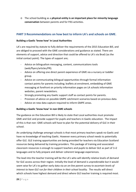o The school building as a **physical entity is an important place for minority language conversation** between parents and for PAS activities.

## **PART 3 Recommendations on how best to inform LA's and schools on GME.**

## **Building a Gaelic 'know how' in Local Authorities**

LA's are required by statute to fully deliver the requirements of the 2015 Education Bill, and are obliged to proceed with the GME considerations and guidance as stated. There are elements of support, advice and direction that could be offered to LA's via BnaG (as the initial contact point). The types of support are;

- Advice on bilingualism messaging, content, communications tools (web/flyers/articles/PR).
- Advice on offering one direct parent experience of GME via a nursery or toddler group.
- Advice on communicating bilingual opportunities through formal information contact points for parents including; leaflets at enrolment, embedding of GME messaging at forefront on priority information pages on LA schools information websites, parent newsletters.
- Strongly promoting any Gaelic support staff as contact points for parents.
- Provision of advice on possible GMPE catchment scenarios based on previous data.
- Advice on new data capture required to inform GMPE areas.

## **Building a Gaelic 'know how' in non GME schools**

The guidance on the Education Bill is likely to state that Local authorities must promote GME and GLE and provide support for pupils and teachers in Gaelic education. The impact of this is that non- GME schools will have to plan for the potential delivery of GLE in their school.

An underlying challenge amongst schools is that most primary teachers speak no Gaelic and have no knowledge of teaching Gaelic. However every primary school needs to potentially offer GLE. GLE training opportunities are being provided for teachers via Education Scotland resources being delivered by training providers. This package of training and associated classroom resources is enough to support teachers and pupils to deliver GLE as part of 1+2 languages and to fully prepare and deliver coherent language experiences.

The lead into the teacher training will be the LA's who will identify relative levels of demand for GLE access across their region. Initially the level of demand is unpredictable but it would seem wise for LA's to gather early data via an *on-line parent survey to ascertain levels of interest to have GLE run for their children in their school locality.* The results will direct which schools have highest demand and direct where GLE teacher training is required most.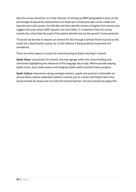Also the survey should be run in the interests of setting up GMPE geographical zones as the percentage of popularity measurement for Gaelic per school postcode can be coded and layered onto a GIS system, the GIS data will then identify clusters of highest GLE interest and suggest the areas where GME requests are more likely. It is important that this survey records the school that the pupil of the parent attends and not the parents' home postcode.

\*It would not be wise to request an interest for GLE through a Schools Parent Council as this could risk a head teacher saying 'no' to GLE without it being properly researched and considered.

There are other aspects to assist the mainstreaming of Gaelic learning in schools:

**Gaelic Ethos:** Using Gaelic for schools informal signage within the school building and classrooms highlighting the relevance of the language day to day. Where possible playing Gaelic music, learn Gaelic poetry and integrate Gaelic within Scottish history projects.

**Gaelic Culture**: Awareness raising amongst teachers, pupils and parents is achievable via annual Gaelic culture celebration weeks in schools just as is done with Robert Burns this would include all classes and not only GLE trained teachers. Nursery should also apply this.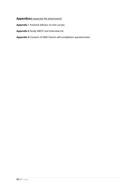## **Appendices** (separate file attachment)

**Appendix** 1 Parental Advisor on-line survey

**Appendix 2** Study SWOT and Interview list

**Appendix 3** Content of GME Parent self-completion questionnaire